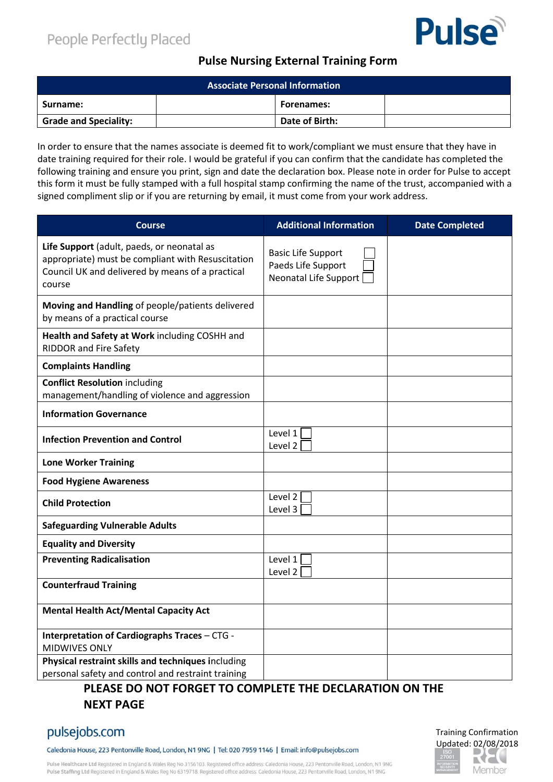# **Pulse**

#### **Pulse Nursing External Training Form**

| <b>Associate Personal Information</b> |  |                   |  |
|---------------------------------------|--|-------------------|--|
| Surname:                              |  | <b>Forenames:</b> |  |
| <b>Grade and Speciality:</b>          |  | Date of Birth:    |  |

In order to ensure that the names associate is deemed fit to work/compliant we must ensure that they have in date training required for their role. I would be grateful if you can confirm that the candidate has completed the following training and ensure you print, sign and date the declaration box. Please note in order for Pulse to accept this form it must be fully stamped with a full hospital stamp confirming the name of the trust, accompanied with a signed compliment slip or if you are returning by email, it must come from your work address.

| <b>Course</b>                                                                                                                                                 | <b>Additional Information</b>                                                   | <b>Date Completed</b> |
|---------------------------------------------------------------------------------------------------------------------------------------------------------------|---------------------------------------------------------------------------------|-----------------------|
| Life Support (adult, paeds, or neonatal as<br>appropriate) must be compliant with Resuscitation<br>Council UK and delivered by means of a practical<br>course | <b>Basic Life Support</b><br>Paeds Life Support<br><b>Neonatal Life Support</b> |                       |
| Moving and Handling of people/patients delivered<br>by means of a practical course                                                                            |                                                                                 |                       |
| Health and Safety at Work including COSHH and<br><b>RIDDOR and Fire Safety</b>                                                                                |                                                                                 |                       |
| <b>Complaints Handling</b>                                                                                                                                    |                                                                                 |                       |
| <b>Conflict Resolution including</b><br>management/handling of violence and aggression                                                                        |                                                                                 |                       |
| <b>Information Governance</b>                                                                                                                                 |                                                                                 |                       |
| <b>Infection Prevention and Control</b>                                                                                                                       | Level 1<br>Level 2                                                              |                       |
| <b>Lone Worker Training</b>                                                                                                                                   |                                                                                 |                       |
| <b>Food Hygiene Awareness</b>                                                                                                                                 |                                                                                 |                       |
| <b>Child Protection</b>                                                                                                                                       | Level 2<br>Level 3                                                              |                       |
| <b>Safeguarding Vulnerable Adults</b>                                                                                                                         |                                                                                 |                       |
| <b>Equality and Diversity</b>                                                                                                                                 |                                                                                 |                       |
| <b>Preventing Radicalisation</b>                                                                                                                              | Level 1<br>Level 2                                                              |                       |
| <b>Counterfraud Training</b>                                                                                                                                  |                                                                                 |                       |
| <b>Mental Health Act/Mental Capacity Act</b>                                                                                                                  |                                                                                 |                       |
| Interpretation of Cardiographs Traces - CTG -<br><b>MIDWIVES ONLY</b>                                                                                         |                                                                                 |                       |
| Physical restraint skills and techniques including<br>personal safety and control and restraint training                                                      |                                                                                 |                       |

## **PLEASE DO NOT FORGET TO COMPLETE THE DECLARATION ON THE NEXT PAGE**

## pulsejobs.com

Caledonia House, 223 Pentonville Road, London, N1 9NG | Tel: 020 7959 1146 | Email: info@pulsejobs.com

Pulse Healthcare Ltd Registered in England & Wales Reg No 3156103. Registered office address: Caledonia House, 223 Pentonville Road, London, N1 9NG Pulse Staffing Ltd Registered in England & Wales Reg No 6319718. Registered office address: Caledonia House, 223 Pentonville Road, London, N1 9NG